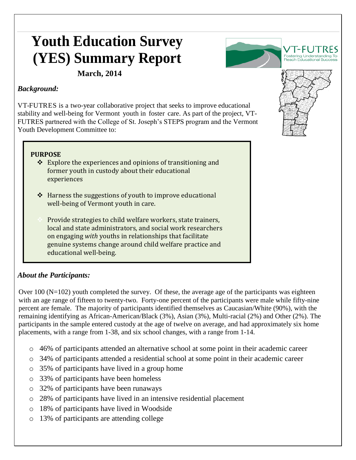# **Youth Education Survey (YES) Summary Report**



 **March, 2014**

#### *Background:*

VT-FUTRES is a two-year collaborative project that seeks to improve educational stability and well-being for Vermont youth in foster care. As part of the project, VT-FUTRES partnered with the College of St. Joseph's STEPS program and the Vermont Youth Development Committee to:

#### **PURPOSE**

- $\triangle$  Explore the experiences and opinions of transitioning and former youth in custody about their educational experiences
- $\triangle$  Harness the suggestions of youth to improve educational well-being of Vermont youth in care.
- Provide strategies to child welfare workers, state trainers, local and state administrators, and social work researchers on engaging *with* youths in relationships that facilitate genuine systems change around child welfare practice and educational well-being.

## *About the Participants:*

Over  $100$  (N=102) youth completed the survey. Of these, the average age of the participants was eighteen with an age range of fifteen to twenty-two. Forty-one percent of the participants were male while fifty-nine percent are female. The majority of participants identified themselves as Caucasian/White (90%), with the remaining identifying as African-American/Black (3%), Asian (3%), Multi-racial (2%) and Other (2%). The participants in the sample entered custody at the age of twelve on average, and had approximately six home placements, with a range from 1-38, and six school changes, with a range from 1-14.

- o 46% of participants attended an alternative school at some point in their academic career
- o 34% of participants attended a residential school at some point in their academic career
- o 35% of participants have lived in a group home
- o 33% of participants have been homeless
- o 32% of participants have been runaways
- o 28% of participants have lived in an intensive residential placement
- o 18% of participants have lived in Woodside
- o 13% of participants are attending college